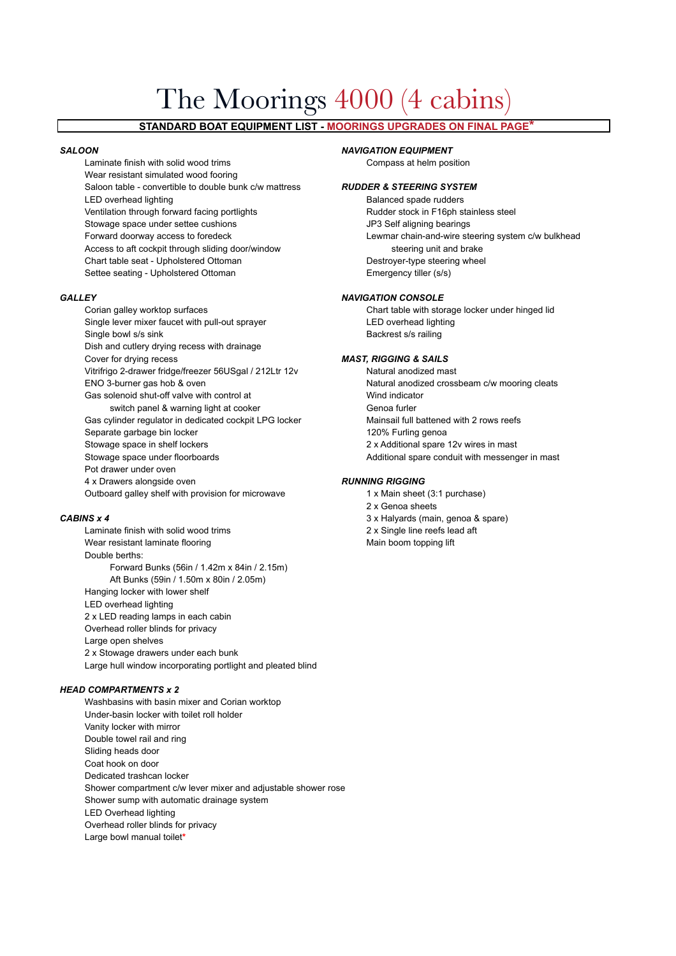# The Moorings 4000 (4 cabins)

# **STANDARD BOAT EQUIPMENT LIST - MOORINGS UPGRADES ON FINAL PAGE\***

Laminate finish with solid wood trims Compass at helm position Wear resistant simulated wood fooring Saloon table - convertible to double bunk c/w mattress *RUDDER & STEERING SYSTEM* LED overhead lighting and the state of the Balanced spade rudders Ventilation through forward facing portlights **Rudder stock in F16ph stainless steel** Stowage space under settee cushions **JP3** Self aligning bearings Forward doorway access to foredeck Lewmar chain-and-wire steering system c/w bulkhead Access to aft cockpit through sliding door/window steering unit and brake Chart table seat - Upholstered Ottoman Destroyer-type steering wheel Settee seating - Upholstered Ottoman Emergency tiller (s/s)

Corian galley worktop surfaces Chart table with storage locker under hinged lid Single lever mixer faucet with pull-out sprayer **LED** overhead lighting Single bowl s/s sink Backrest s/s railing Dish and cutlery drying recess with drainage Cover for drying recess *MAST, RIGGING & SAILS* Vitrifrigo 2-drawer fridge/freezer 56USgal / 212Ltr 12v Natural anodized mast ENO 3-burner gas hob & oven Natural anodized crossbeam c/w mooring cleats Gas solenoid shut-off valve with control at The Wind indicator switch panel & warning light at cooker Genoa furler Gas cylinder regulator in dedicated cockpit LPG locker Mainsail full battened with 2 rows reefs Separate garbage bin locker 120% Furling genoa Stowage space in shelf lockers 2 x Additional spare 12v wires in mast Stowage space under floorboards **Additional spare conduit with messenger in mast** Additional spare conduit with messenger in mast Pot drawer under oven 4 x Drawers alongside oven *RUNNING RIGGING*

Laminate finish with solid wood trims **2x Single line reefs lead aft** Wear resistant laminate flooring Main boom topping lift Double berths: Forward Bunks (56in / 1.42m x 84in / 2.15m) Aft Bunks (59in / 1.50m x 80in / 2.05m) Hanging locker with lower shelf LED overhead lighting 2 x LED reading lamps in each cabin Overhead roller blinds for privacy Large open shelves 2 x Stowage drawers under each bunk Large hull window incorporating portlight and pleated blind

# *HEAD COMPARTMENTS x 2*

Washbasins with basin mixer and Corian worktop Under-basin locker with toilet roll holder Vanity locker with mirror Double towel rail and ring Sliding heads door Coat hook on door Dedicated trashcan locker Shower compartment c/w lever mixer and adjustable shower rose Shower sump with automatic drainage system LED Overhead lighting Overhead roller blinds for privacy Large bowl manual toilet**\***

## *SALOON NAVIGATION EQUIPMENT*

### *GALLEY NAVIGATION CONSOLE*

Outboard galley shelf with provision for microwave 1 x Main sheet (3:1 purchase) 2 x Genoa sheets **CABINS x 4** 3 x Halyards (main, genoa & spare)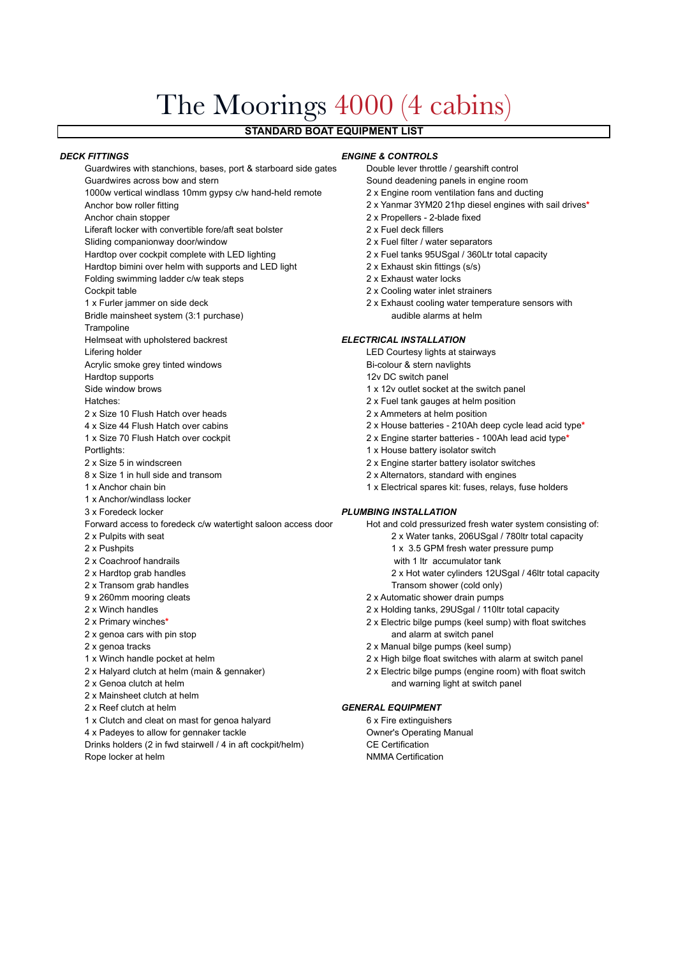# The Moorings 4000 (4 cabins)

# **STANDARD BOAT EQUIPMENT LIST**

### *DECK FITTINGS ENGINE & CONTROLS*

Guardwires with stanchions, bases, port & starboard side gates Double lever throttle / gearshift control Guardwires across bow and stern Sound deadening panels in engine room 1000w vertical windlass 10mm gypsy c/w hand-held remote 2 x Engine room ventilation fans and ducting Anchor bow roller fitting 2 x Yanmar 3YM20 21hp diesel engines with sail drives**\*** Anchor chain stopper 2 x Propellers - 2-blade fixed Liferaft locker with convertible fore/aft seat bolster 2 x Fuel deck fillers Sliding companionway door/window 2 x Fuel filter / water separators Hardtop over cockpit complete with LED lighting 2 x Fuel tanks 95USgal / 360Ltr total capacity Hardtop bimini over helm with supports and LED light 2 x Exhaust skin fittings (s/s) Folding swimming ladder c/w teak steps 2 x Exhaust water locks Cockpit table 2 x Cooling water inlet strainers 1 x Furler jammer on side deck 2 x Exhaust cooling water temperature sensors with Bridle mainsheet system (3:1 purchase) audible alarms at helm **Trampoline** Helmseat with upholstered backrest *ELECTRICAL INSTALLATION* Lifering holder **Leap and Courtesy LED** Courtesy lights at stairways Acrylic smoke grey tinted windows **Bi-colour & stern navlights** Hardtop supports 12v DC switch panel Side window brows **1** x 12v outlet socket at the switch panel Hatches: 2 x Fuel tank gauges at helm position 2 x Size 10 Flush Hatch over heads 2 x Ammeters at helm position 4 x Size 44 Flush Hatch over cabins 2 x House batteries - 210Ah deep cycle lead acid type**\*** 1 x Size 70 Flush Hatch over cockpit 2 x Engine starter batteries - 100Ah lead acid type**\*** Portlights: 1 x House battery isolator switch 2 x Size 5 in windscreen 2 x Engine starter battery isolator switches 8 x Size 1 in hull side and transom 2 x Alternators, standard with engines 1 x Anchor chain bin 1 x Electrical spares kit: fuses, relays, fuse holders 1 x Anchor/windlass locker 3 x Foredeck locker *PLUMBING INSTALLATION* Forward access to foredeck c/w watertight saloon access door Hot and cold pressurized fresh water system consisting of: 2 x Pulpits with seat 2 x Water tanks, 206USgal / 780ltr total capacity 2 x Pushpits 2 x Pushpits 1 x 3.5 GPM fresh water pressure pump 2 x Coachroof handrails with 1 ltr accumulator tank 2 x Hardtop grab handles 2 x Hot water cylinders 12USgal / 46ltr total capacity 2 x Transom grab handles Transom shower (cold only) 9 x 260mm mooring cleats 2 x Automatic shower drain pumps 2 x Winch handles 2 x Holding tanks, 29USgal / 110ltr total capacity 2 x Primary winches**\*** 2 x Electric bilge pumps (keel sump) with float switches 2 x genoa cars with pin stop and alarm at switch panel 2 x genoa tracks 2 x Manual bilge pumps (keel sump) 1 x Winch handle pocket at helm 2 x High bilge float switches with alarm at switch panel 2 x Halyard clutch at helm (main & gennaker) 2 x Electric bilge pumps (engine room) with float switch 2 x Genoa clutch at helm and warning light at switch panel 2 x Mainsheet clutch at helm 2 x Reef clutch at helm *GENERAL EQUIPMENT* 1 x Clutch and cleat on mast for genoa halyard 6 x Fire extinguishers 4 x Padeyes to allow for gennaker tackle **Owner's Operating Manual** 

Drinks holders (2 in fwd stairwell / 4 in aft cockpit/helm) CE Certification Rope locker at helm NMMA Certification

- 
- 
- 
- 
- 
- 
- 
- 
- 
- 
- 

- 
- 
- 
- 
- 
- 
- 
- 
- 
-